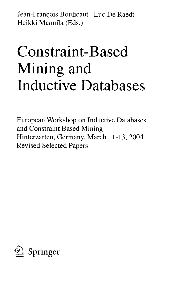Jean-François Boulicaut Luc De Raedt Heikki Mannila (Eds.)

## Constraint-Based Mining and Inductive Databases

European Workshop on Inductive Databases and Constraint Based Mining Hinterzarten, Germany, March 11-13, 2004 Revised Selected Papers

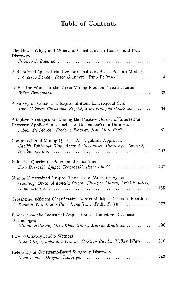## **Table of Contents**

| The Hows, Whys, and Whens of Constraints in Itemset and Rule<br>Discovery                                                                                                                |     |
|------------------------------------------------------------------------------------------------------------------------------------------------------------------------------------------|-----|
|                                                                                                                                                                                          | 1   |
| A Relational Query Primitive for Constraint-Based Pattern Mining<br>Francesco Bonchi, Fosca Giannotti, Dino Pedreschi                                                                    | 14  |
| To See the Wood for the Trees: Mining Frequent Tree Patterns                                                                                                                             | 38  |
| A Survey on Condensed Representations for Frequent Sets<br>Toon Calders, Christophe Rigotti, Jean-François Boulicaut                                                                     | 64  |
| Adaptive Strategies for Mining the Positive Border of Interesting<br>Patterns: Application to Inclusion Dependencies in Databases<br>Fabien De Marchi, Frédéric Flouvat, Jean-Marc Petit | 81  |
| Computation of Mining Queries: An Algebraic Approach<br>Cheikh Talibouya Diop, Arnaud Giacometti, Dominique Laurent,                                                                     | 102 |
| Inductive Queries on Polynomial Equations<br>Sašo Džeroski, Ljupčo Todorovski, Peter Ljubič                                                                                              | 127 |
| Mining Constrained Graphs: The Case of Workflow Systems<br>Gianluigi Greco, Antonella Guzzo, Giuseppe Manco, Luigi Pontieri,                                                             | 155 |
| CrossMine: Efficient Classification Across Multiple Database Relations<br>Xiaoxin Yin, Jiawei Han, Jiong Yang, Philip S. Yu                                                              | 172 |
| Remarks on the Industrial Application of Inductive Database<br>Technologies                                                                                                              |     |
| Kimmo Hätönen, Mika Klemettinen, Markus Miettinen                                                                                                                                        | 196 |
| How to Quickly Find a Witness<br>Daniel Kifer, Johannes Gehrke, Cristian Bucila, Walker White                                                                                            | 216 |
| Relevancy in Constraint-Based Subgroup Discovery                                                                                                                                         | 243 |